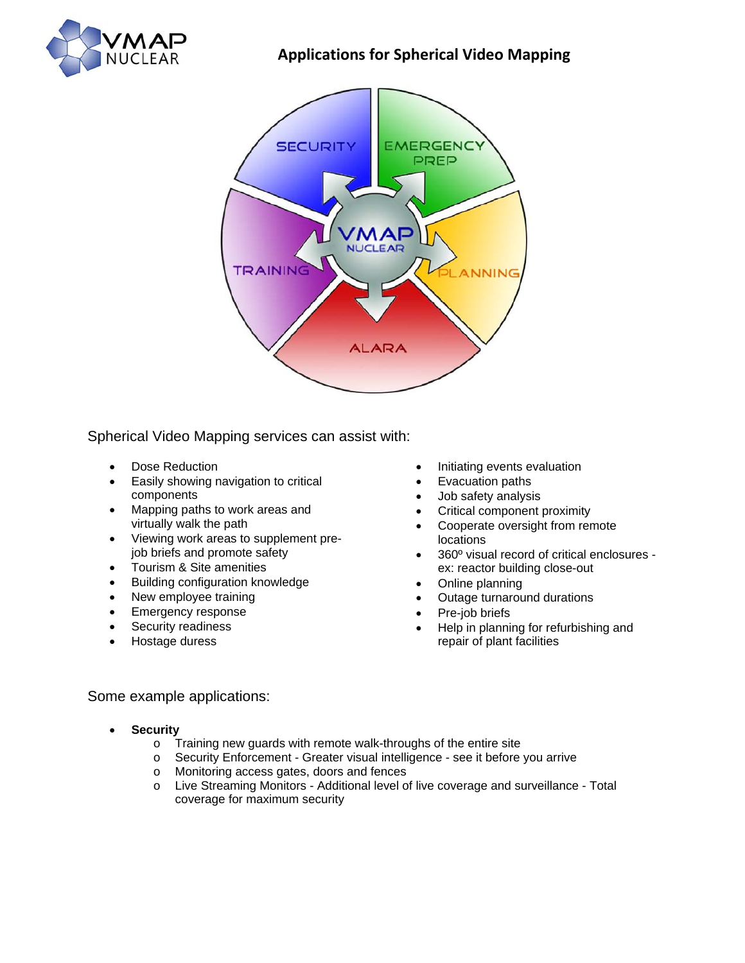

## **Applications for Spherical Video Mapping**



Spherical Video Mapping services can assist with:

- Dose Reduction
- Easily showing navigation to critical components
- Mapping paths to work areas and virtually walk the path
- Viewing work areas to supplement prejob briefs and promote safety
- Tourism & Site amenities
- Building configuration knowledge
- New employee training
- Emergency response
- Security readiness
- Hostage duress
- Initiating events evaluation
- Evacuation paths
- Job safety analysis
- Critical component proximity
- Cooperate oversight from remote locations
- 360º visual record of critical enclosures ex: reactor building close-out
- Online planning
- Outage turnaround durations
- Pre-job briefs
- Help in planning for refurbishing and repair of plant facilities

## Some example applications:

- **Security**
	- o Training new guards with remote walk-throughs of the entire site
	- o Security Enforcement Greater visual intelligence see it before you arrive
	- o Monitoring access gates, doors and fences
	- o Live Streaming Monitors Additional level of live coverage and surveillance Total coverage for maximum security